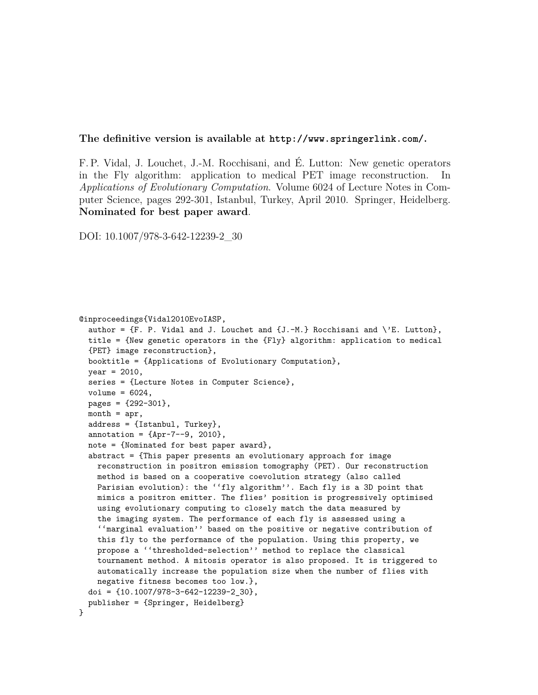### **The definitive version is available at <http://www.springerlink.com/>.**

F. P. Vidal, J. Louchet, J.-M. Rocchisani, and É. Lutton: New genetic operators in the Fly algorithm: application to medical PET image reconstruction. In *Applications of Evolutionary Computation*. Volume 6024 of Lecture Notes in Computer Science, pages 292-301, Istanbul, Turkey, April 2010. Springer, Heidelberg. **Nominated for best paper award**.

[DOI: 10.1007/978-3-642-12239-2\\_30](http://dx.doi.org/10.1007/978-3-642-12239-2_30)

```
@inproceedings{Vidal2010EvoIASP,
  author = {F. P. Vidal and J. Louchet and {J.-M.} Rocchisani and <math>\iota E. Lutton</math>,title = {New genetic operators in the {Fly} algorithm: application to medical
  {PET} image reconstruction},
  booktitle = {Applications of Evolutionary Computation},
  year = 2010,series = {Lecture Notes in Computer Science},
  volume = 6024,
  pages = {292-301},
 month = apr,address = {Istanbul, Turkey},
  annotation = {Apr~7--9, 2010},
 note = {Nominated for best paper award},
  abstract = {This paper presents an evolutionary approach for image
   reconstruction in positron emission tomography (PET). Our reconstruction
   method is based on a cooperative coevolution strategy (also called
   Parisian evolution): the ''fly algorithm''. Each fly is a 3D point that
   mimics a positron emitter. The flies' position is progressively optimised
   using evolutionary computing to closely match the data measured by
    the imaging system. The performance of each fly is assessed using a
    ''marginal evaluation'' based on the positive or negative contribution of
    this fly to the performance of the population. Using this property, we
    propose a ''thresholded-selection'' method to replace the classical
    tournament method. A mitosis operator is also proposed. It is triggered to
    automatically increase the population size when the number of flies with
   negative fitness becomes too low.},
  doi = {10.1007/978-3-642-12239-2_30},
  publisher = {Springer, Heidelberg}
}
```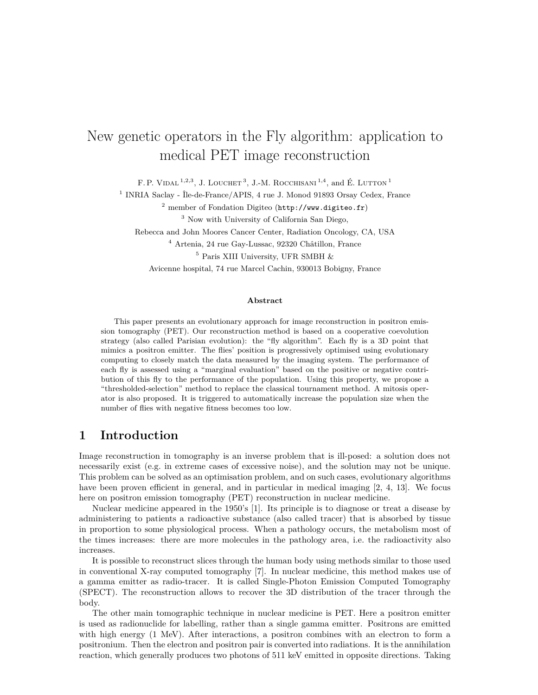# New genetic operators in the Fly algorithm: application to medical PET image reconstruction

F. P. VIDAL<sup>1,2,3</sup>, J. LOUCHET<sup>3</sup>, J.-M. ROCCHISANI<sup>1,4</sup>, and É. LUTTON<sup>1</sup>

<sup>1</sup> INRIA Saclay - Île-de-France/APIS, 4 rue J. Monod 91893 Orsay Cedex, France

 $2$  member of Fondation Digiteo (<http://www.digiteo.fr>)

<sup>3</sup> Now with University of California San Diego,

Rebecca and John Moores Cancer Center, Radiation Oncology, CA, USA

<sup>4</sup> Artenia, 24 rue Gay-Lussac, 92320 Châtillon, France

 $^5$  Paris XIII University, UFR SMBH  $\&$ 

Avicenne hospital, 74 rue Marcel Cachin, 930013 Bobigny, France

#### **Abstract**

This paper presents an evolutionary approach for image reconstruction in positron emission tomography (PET). Our reconstruction method is based on a cooperative coevolution strategy (also called Parisian evolution): the "fly algorithm". Each fly is a 3D point that mimics a positron emitter. The flies' position is progressively optimised using evolutionary computing to closely match the data measured by the imaging system. The performance of each fly is assessed using a "marginal evaluation" based on the positive or negative contribution of this fly to the performance of the population. Using this property, we propose a "thresholded-selection" method to replace the classical tournament method. A mitosis operator is also proposed. It is triggered to automatically increase the population size when the number of flies with negative fitness becomes too low.

# **1 Introduction**

Image reconstruction in tomography is an inverse problem that is ill-posed: a solution does not necessarily exist (e.g. in extreme cases of excessive noise), and the solution may not be unique. This problem can be solved as an optimisation problem, and on such cases, evolutionary algorithms have been proven efficient in general, and in particular in medical imaging  $[2, 4, 13]$  $[2, 4, 13]$  $[2, 4, 13]$ . We focus here on positron emission tomography (PET) reconstruction in nuclear medicine.

Nuclear medicine appeared in the 1950's [\[1\]](#page-8-2). Its principle is to diagnose or treat a disease by administering to patients a radioactive substance (also called tracer) that is absorbed by tissue in proportion to some physiological process. When a pathology occurs, the metabolism most of the times increases: there are more molecules in the pathology area, i.e. the radioactivity also increases.

It is possible to reconstruct slices through the human body using methods similar to those used in conventional X-ray computed tomography [\[7\]](#page-9-1). In nuclear medicine, this method makes use of a gamma emitter as radio-tracer. It is called Single-Photon Emission Computed Tomography (SPECT). The reconstruction allows to recover the 3D distribution of the tracer through the body.

The other main tomographic technique in nuclear medicine is PET. Here a positron emitter is used as radionuclide for labelling, rather than a single gamma emitter. Positrons are emitted with high energy (1 MeV). After interactions, a positron combines with an electron to form a positronium. Then the electron and positron pair is converted into radiations. It is the annihilation reaction, which generally produces two photons of 511 keV emitted in opposite directions. Taking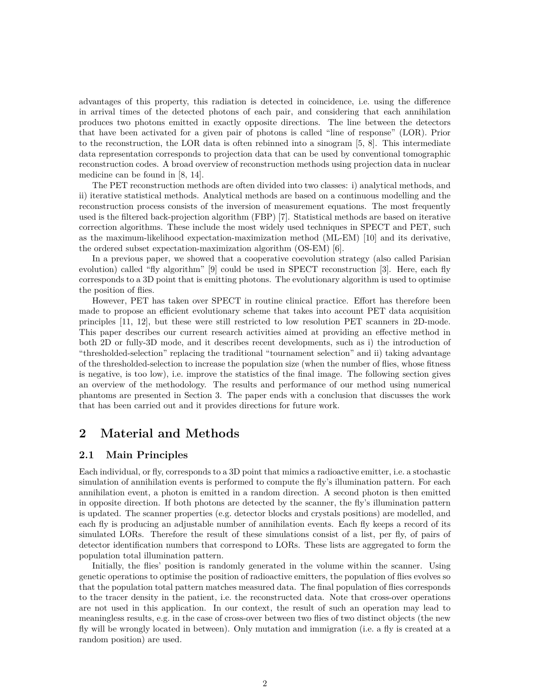advantages of this property, this radiation is detected in coincidence, i.e. using the difference in arrival times of the detected photons of each pair, and considering that each annihilation produces two photons emitted in exactly opposite directions. The line between the detectors that have been activated for a given pair of photons is called "line of response" (LOR). Prior to the reconstruction, the LOR data is often rebinned into a sinogram [\[5,](#page-8-3) [8\]](#page-9-2). This intermediate data representation corresponds to projection data that can be used by conventional tomographic reconstruction codes. A broad overview of reconstruction methods using projection data in nuclear medicine can be found in [\[8,](#page-9-2) [14\]](#page-9-3).

The PET reconstruction methods are often divided into two classes: i) analytical methods, and ii) iterative statistical methods. Analytical methods are based on a continuous modelling and the reconstruction process consists of the inversion of measurement equations. The most frequently used is the filtered back-projection algorithm (FBP) [\[7\]](#page-9-1). Statistical methods are based on iterative correction algorithms. These include the most widely used techniques in SPECT and PET, such as the maximum-likelihood expectation-maximization method (ML-EM) [\[10\]](#page-9-4) and its derivative, the ordered subset expectation-maximization algorithm (OS-EM) [\[6\]](#page-9-5).

In a previous paper, we showed that a cooperative coevolution strategy (also called Parisian evolution) called "fly algorithm" [\[9\]](#page-9-6) could be used in SPECT reconstruction [\[3\]](#page-8-4). Here, each fly corresponds to a 3D point that is emitting photons. The evolutionary algorithm is used to optimise the position of flies.

However, PET has taken over SPECT in routine clinical practice. Effort has therefore been made to propose an efficient evolutionary scheme that takes into account PET data acquisition principles [\[11,](#page-9-7) [12\]](#page-9-8), but these were still restricted to low resolution PET scanners in 2D-mode. This paper describes our current research activities aimed at providing an effective method in both 2D or fully-3D mode, and it describes recent developments, such as i) the introduction of "thresholded-selection" replacing the traditional "tournament selection" and ii) taking advantage of the thresholded-selection to increase the population size (when the number of flies, whose fitness is negative, is too low), i.e. improve the statistics of the final image. The following section gives an overview of the methodology. The results and performance of our method using numerical phantoms are presented in Section [3.](#page-3-0) The paper ends with a conclusion that discusses the work that has been carried out and it provides directions for future work.

# **2 Material and Methods**

### **2.1 Main Principles**

Each individual, or fly, corresponds to a 3D point that mimics a radioactive emitter, i.e. a stochastic simulation of annihilation events is performed to compute the fly's illumination pattern. For each annihilation event, a photon is emitted in a random direction. A second photon is then emitted in opposite direction. If both photons are detected by the scanner, the fly's illumination pattern is updated. The scanner properties (e.g. detector blocks and crystals positions) are modelled, and each fly is producing an adjustable number of annihilation events. Each fly keeps a record of its simulated LORs. Therefore the result of these simulations consist of a list, per fly, of pairs of detector identification numbers that correspond to LORs. These lists are aggregated to form the population total illumination pattern.

Initially, the flies' position is randomly generated in the volume within the scanner. Using genetic operations to optimise the position of radioactive emitters, the population of flies evolves so that the population total pattern matches measured data. The final population of flies corresponds to the tracer density in the patient, i.e. the reconstructed data. Note that cross-over operations are not used in this application. In our context, the result of such an operation may lead to meaningless results, e.g. in the case of cross-over between two flies of two distinct objects (the new fly will be wrongly located in between). Only mutation and immigration (i.e. a fly is created at a random position) are used.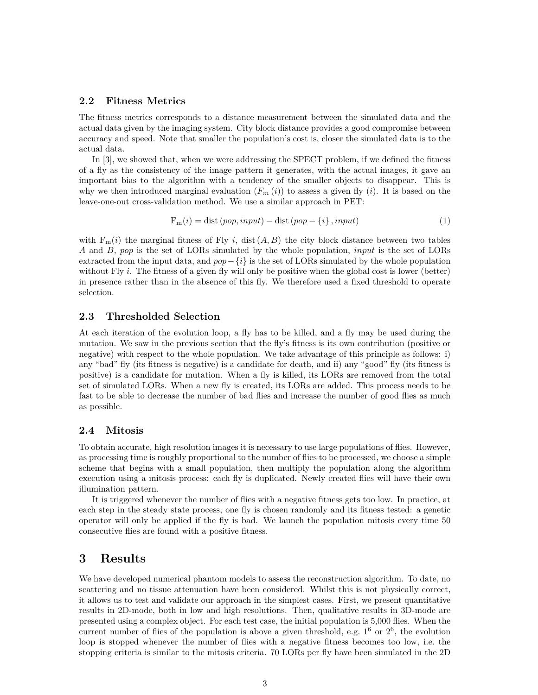### **2.2 Fitness Metrics**

The fitness metrics corresponds to a distance measurement between the simulated data and the actual data given by the imaging system. City block distance provides a good compromise between accuracy and speed. Note that smaller the population's cost is, closer the simulated data is to the actual data.

In [\[3\]](#page-8-4), we showed that, when we were addressing the SPECT problem, if we defined the fitness of a fly as the consistency of the image pattern it generates, with the actual images, it gave an important bias to the algorithm with a tendency of the smaller objects to disappear. This is why we then introduced marginal evaluation  $(F_m(i))$  to assess a given fly  $(i)$ . It is based on the leave-one-out cross-validation method. We use a similar approach in PET:

$$
F_m(i) = dist\left(pop, input\right) - dist\left(pop - \{i\}, input\right) \tag{1}
$$

with  $F_m(i)$  the marginal fitness of Fly *i*, dist  $(A, B)$  the city block distance between two tables *A* and *B*, *pop* is the set of LORs simulated by the whole population, *input* is the set of LORs extracted from the input data, and  $pop-\{i\}$  is the set of LORs simulated by the whole population without Fly *i*. The fitness of a given fly will only be positive when the global cost is lower (better) in presence rather than in the absence of this fly. We therefore used a fixed threshold to operate selection.

#### **2.3 Thresholded Selection**

At each iteration of the evolution loop, a fly has to be killed, and a fly may be used during the mutation. We saw in the previous section that the fly's fitness is its own contribution (positive or negative) with respect to the whole population. We take advantage of this principle as follows: i) any "bad" fly (its fitness is negative) is a candidate for death, and ii) any "good" fly (its fitness is positive) is a candidate for mutation. When a fly is killed, its LORs are removed from the total set of simulated LORs. When a new fly is created, its LORs are added. This process needs to be fast to be able to decrease the number of bad flies and increase the number of good flies as much as possible.

#### **2.4 Mitosis**

To obtain accurate, high resolution images it is necessary to use large populations of flies. However, as processing time is roughly proportional to the number of flies to be processed, we choose a simple scheme that begins with a small population, then multiply the population along the algorithm execution using a mitosis process: each fly is duplicated. Newly created flies will have their own illumination pattern.

It is triggered whenever the number of flies with a negative fitness gets too low. In practice, at each step in the steady state process, one fly is chosen randomly and its fitness tested: a genetic operator will only be applied if the fly is bad. We launch the population mitosis every time 50 consecutive flies are found with a positive fitness.

# <span id="page-3-0"></span>**3 Results**

We have developed numerical phantom models to assess the reconstruction algorithm. To date, no scattering and no tissue attenuation have been considered. Whilst this is not physically correct, it allows us to test and validate our approach in the simplest cases. First, we present quantitative results in 2D-mode, both in low and high resolutions. Then, qualitative results in 3D-mode are presented using a complex object. For each test case, the initial population is 5,000 flies. When the current number of flies of the population is above a given threshold, e.g.  $1^6$  or  $2^6$ , the evolution loop is stopped whenever the number of flies with a negative fitness becomes too low, i.e. the stopping criteria is similar to the mitosis criteria. 70 LORs per fly have been simulated in the 2D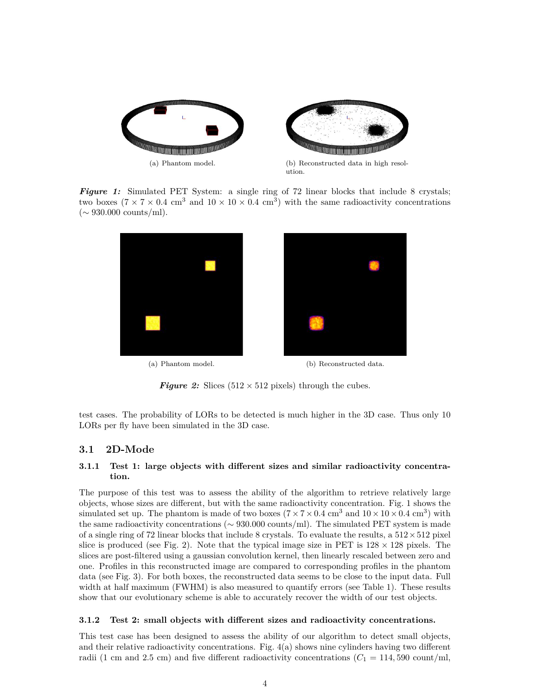<span id="page-4-0"></span>

**Figure 1:** Simulated PET System: a single ring of 72 linear blocks that include 8 crystals; two boxes ( $7 \times 7 \times 0.4$  cm<sup>3</sup> and  $10 \times 10 \times 0.4$  cm<sup>3</sup>) with the same radioactivity concentrations  $({\sim} 930.000 \text{ counts/ml}).$ 

<span id="page-4-1"></span>



*Figure 2:* Slices (512  $\times$  512 pixels) through the cubes.

test cases. The probability of LORs to be detected is much higher in the 3D case. Thus only 10 LORs per fly have been simulated in the 3D case.

### **3.1 2D-Mode**

### **3.1.1 Test 1: large objects with dierent sizes and similar radioactivity concentration.**

The purpose of this test was to assess the ability of the algorithm to retrieve relatively large objects, whose sizes are different, but with the same radioactivity concentration. Fig. [1](#page-4-0) shows the simulated set up. The phantom is made of two boxes  $(7 \times 7 \times 0.4 \text{ cm}^3 \text{ and } 10 \times 10 \times 0.4 \text{ cm}^3)$  with the same radioactivity concentrations ( $\sim$  930.000 counts/ml). The simulated PET system is made of a single ring of 72 linear blocks that include 8 crystals. To evaluate the results, a  $512 \times 512$  pixel slice is produced (see Fig. [2\)](#page-4-1). Note that the typical image size in PET is  $128 \times 128$  pixels. The slices are post-filtered using a gaussian convolution kernel, then linearly rescaled between zero and one. Profiles in this reconstructed image are compared to corresponding profiles in the phantom data (see Fig. [3\)](#page-5-0). For both boxes, the reconstructed data seems to be close to the input data. Full width at half maximum (FWHM) is also measured to quantify errors (see Table [1\)](#page-5-1). These results show that our evolutionary scheme is able to accurately recover the width of our test objects.

#### **3.1.2 Test 2: small objects with dierent sizes and radioactivity concentrations.**

This test case has been designed to assess the ability of our algorithm to detect small objects, and their relative radioactivity concentrations. Fig.  $4(a)$  shows nine cylinders having two different radii (1 cm and 2.5 cm) and five different radioactivity concentrations  $(C_1 = 114, 590 \text{ count/ml},$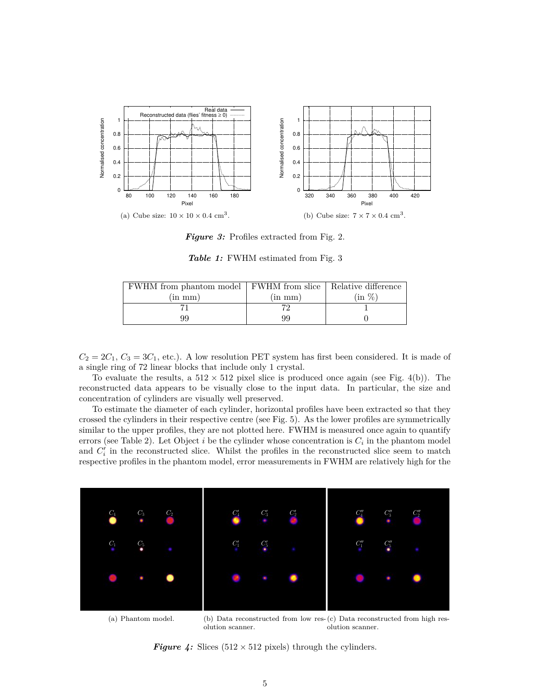<span id="page-5-0"></span>

*Figure 3:* Profiles extracted from Fig. [2.](#page-4-1)

*Table 1:* FWHM estimated from Fig. [3](#page-5-0)

<span id="page-5-1"></span>

| FWHM from phantom model   FWHM from slice   Relative difference |              |           |  |
|-----------------------------------------------------------------|--------------|-----------|--|
| $(in \; mm)$                                                    | $(in \; mm)$ | $(in \%)$ |  |
|                                                                 |              |           |  |
| 99                                                              | 99           |           |  |

 $C_2 = 2C_1, C_3 = 3C_1$ , etc.). A low resolution PET system has first been considered. It is made of a single ring of 72 linear blocks that include only 1 crystal.

To evaluate the results, a  $512 \times 512$  pixel slice is produced once again (see Fig. [4\(b\)\)](#page-5-3). The reconstructed data appears to be visually close to the input data. In particular, the size and concentration of cylinders are visually well preserved.

To estimate the diameter of each cylinder, horizontal profiles have been extracted so that they crossed the cylinders in their respective centre (see Fig. [5\)](#page-6-0). As the lower profiles are symmetrically similar to the upper profiles, they are not plotted here. FWHM is measured once again to quantify errors (see Table [2\)](#page-6-1). Let Object  $i$  be the cylinder whose concentration is  $C_i$  in the phantom model and  $C_i'$  in the reconstructed slice. Whilst the profiles in the reconstructed slice seem to match respective profiles in the phantom model, error measurements in FWHM are relatively high for the



<span id="page-5-2"></span>(a) Phantom model. (b) Data reconstructed from low res-(c) Data reconstructed from high resolution scanner. olution scanner.

<span id="page-5-4"></span><span id="page-5-3"></span>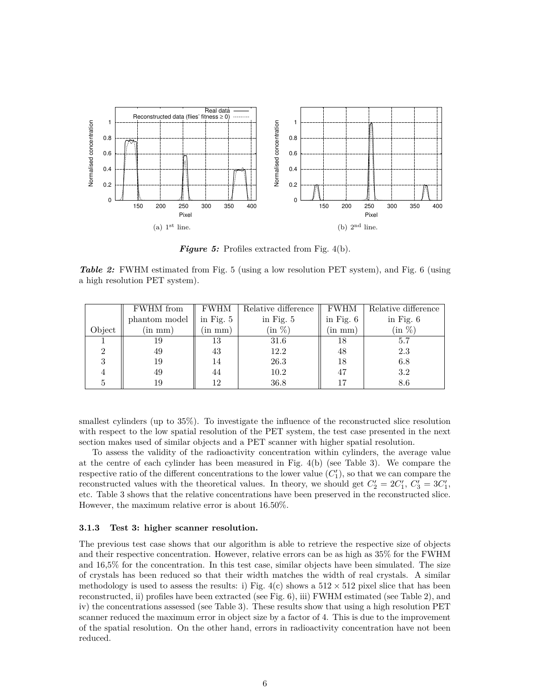<span id="page-6-0"></span>

*Figure 5:* Profiles extracted from Fig. [4\(b\).](#page-5-3)

<span id="page-6-1"></span>*Table 2:* FWHM estimated from Fig. [5](#page-6-0) (using a low resolution PET system), and Fig. [6](#page-7-0) (using a high resolution PET system).

|                | FWHM from     | <b>FWHM</b>  | Relative difference | <b>FWHM</b>  | Relative difference |
|----------------|---------------|--------------|---------------------|--------------|---------------------|
|                | phantom model | in Fig. $5$  | in Fig. $5$         | in Fig. $6$  | in Fig. $6$         |
| Object         | $(in \; mm)$  | $(in \; mm)$ | $(in \%)$           | $(in \; mm)$ | $(in \%)$           |
|                | 19            | 13           | 31.6                | 18           | 5.7                 |
| $\overline{2}$ | 49            | 43           | 12.2                | 48           | 2.3                 |
| 3              | 19            | 14           | 26.3                | 18           | 6.8                 |
| 4              | 49            | 44           | 10.2                | 47           | 3.2                 |
|                | 19            | 12           | 36.8                |              | 8.6                 |

smallest cylinders (up to 35%). To investigate the influence of the reconstructed slice resolution with respect to the low spatial resolution of the PET system, the test case presented in the next section makes used of similar objects and a PET scanner with higher spatial resolution.

To assess the validity of the radioactivity concentration within cylinders, the average value at the centre of each cylinder has been measured in Fig. [4\(b\)](#page-5-3) (see Table [3\)](#page-7-1). We compare the respective ratio of the different concentrations to the lower value  $(C'_1)$ , so that we can compare the reconstructed values with the theoretical values. In theory, we should get  $C_2' = 2C_1', C_3' = 3C_1'$ , etc. Table [3](#page-7-1) shows that the relative concentrations have been preserved in the reconstructed slice. However, the maximum relative error is about 16.50%.

#### **3.1.3 Test 3: higher scanner resolution.**

The previous test case shows that our algorithm is able to retrieve the respective size of objects and their respective concentration. However, relative errors can be as high as 35% for the FWHM and 16,5% for the concentration. In this test case, similar objects have been simulated. The size of crystals has been reduced so that their width matches the width of real crystals. A similar methodology is used to assess the results: i) Fig.  $4(c)$  shows a  $512 \times 512$  pixel slice that has been reconstructed, ii) profiles have been extracted (see Fig. [6\)](#page-7-0), iii) FWHM estimated (see Table [2\)](#page-6-1), and iv) the concentrations assessed (see Table [3\)](#page-7-1). These results show that using a high resolution PET scanner reduced the maximum error in object size by a factor of 4. This is due to the improvement of the spatial resolution. On the other hand, errors in radioactivity concentration have not been reduced.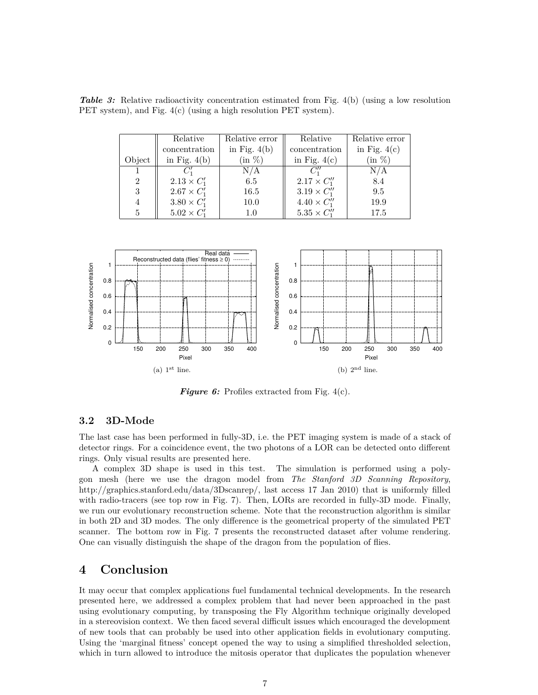<span id="page-7-1"></span>*Table 3:* Relative radioactivity concentration estimated from Fig. [4\(b\)](#page-5-3) (using a low resolution PET system), and Fig. [4\(c\)](#page-5-4) (using a high resolution PET system).

|                | Relative           | Relative error | Relative            | Relative error |
|----------------|--------------------|----------------|---------------------|----------------|
|                | concentration      | in Fig. $4(b)$ | concentration       | in Fig. $4(c)$ |
| Object         | in Fig. $4(b)$     | $(in \%)$      | in Fig. $4(c)$      | $(in \%)$      |
|                |                    | N/A            | $C''_1$             | N/A            |
| $\overline{2}$ | $2.13 \times C'_1$ | 6.5            | $2.17 \times C''_1$ | 8.4            |
| 3              | $2.67 \times C'_1$ | 16.5           | $3.19 \times C''_1$ | 9.5            |
| $\overline{4}$ | $3.80 \times C'_1$ | 10.0           | $4.40 \times C''_1$ | 19.9           |
| 5              | $5.02 \times C'_1$ | 1.0            | $5.35 \times C''_1$ | 17.5           |

<span id="page-7-0"></span>

*Figure 6:* Profiles extracted from Fig. [4\(c\).](#page-5-4)

### **3.2 3D-Mode**

The last case has been performed in fully-3D, i.e. the PET imaging system is made of a stack of detector rings. For a coincidence event, the two photons of a LOR can be detected onto different rings. Only visual results are presented here.

A complex 3D shape is used in this test. The simulation is performed using a polygon mesh (here we use the dragon model from *The Stanford 3D Scanning Repository*, http://graphics.stanford.edu/data/3Dscanrep/, last access 17 Jan 2010) that is uniformly filled with radio-tracers (see top row in Fig. [7\)](#page-8-5). Then, LORs are recorded in fully-3D mode. Finally, we run our evolutionary reconstruction scheme. Note that the reconstruction algorithm is similar in both 2D and 3D modes. The only difference is the geometrical property of the simulated PET scanner. The bottom row in Fig. [7](#page-8-5) presents the reconstructed dataset after volume rendering. One can visually distinguish the shape of the dragon from the population of flies.

# **4 Conclusion**

It may occur that complex applications fuel fundamental technical developments. In the research presented here, we addressed a complex problem that had never been approached in the past using evolutionary computing, by transposing the Fly Algorithm technique originally developed in a stereovision context. We then faced several difficult issues which encouraged the development of new tools that can probably be used into other application fields in evolutionary computing. Using the 'marginal fitness' concept opened the way to using a simplified thresholded selection, which in turn allowed to introduce the mitosis operator that duplicates the population whenever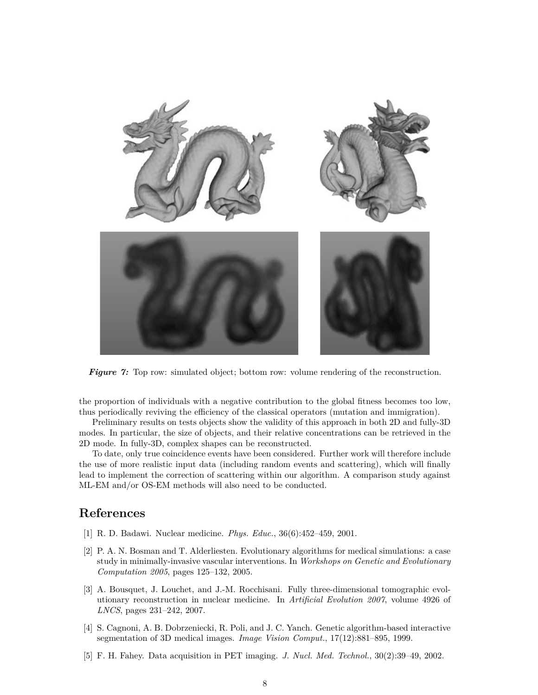<span id="page-8-5"></span>

*Figure 7:* Top row: simulated object; bottom row: volume rendering of the reconstruction.

the proportion of individuals with a negative contribution to the global fitness becomes too low, thus periodically reviving the efficiency of the classical operators (mutation and immigration).

Preliminary results on tests objects show the validity of this approach in both 2D and fully-3D modes. In particular, the size of objects, and their relative concentrations can be retrieved in the 2D mode. In fully-3D, complex shapes can be reconstructed.

To date, only true coincidence events have been considered. Further work will therefore include the use of more realistic input data (including random events and scattering), which will finally lead to implement the correction of scattering within our algorithm. A comparison study against ML-EM and/or OS-EM methods will also need to be conducted.

# **References**

- <span id="page-8-2"></span>[1] R. D. Badawi. Nuclear medicine. *Phys. Educ.*, 36(6):452–459, 2001.
- <span id="page-8-0"></span>[2] P. A. N. Bosman and T. Alderliesten. Evolutionary algorithms for medical simulations: a case study in minimally-invasive vascular interventions. In *Workshops on Genetic and Evolutionary Computation 2005*, pages 125–132, 2005.
- <span id="page-8-4"></span>[3] A. Bousquet, J. Louchet, and J.-M. Rocchisani. Fully three-dimensional tomographic evolutionary reconstruction in nuclear medicine. In *Artificial Evolution 2007*, volume 4926 of *LNCS*, pages 231–242, 2007.
- <span id="page-8-1"></span>[4] S. Cagnoni, A. B. Dobrzeniecki, R. Poli, and J. C. Yanch. Genetic algorithm-based interactive segmentation of 3D medical images. *Image Vision Comput.*, 17(12):881–895, 1999.
- <span id="page-8-3"></span>[5] F. H. Fahey. Data acquisition in PET imaging. *J. Nucl. Med. Technol.*, 30(2):39–49, 2002.